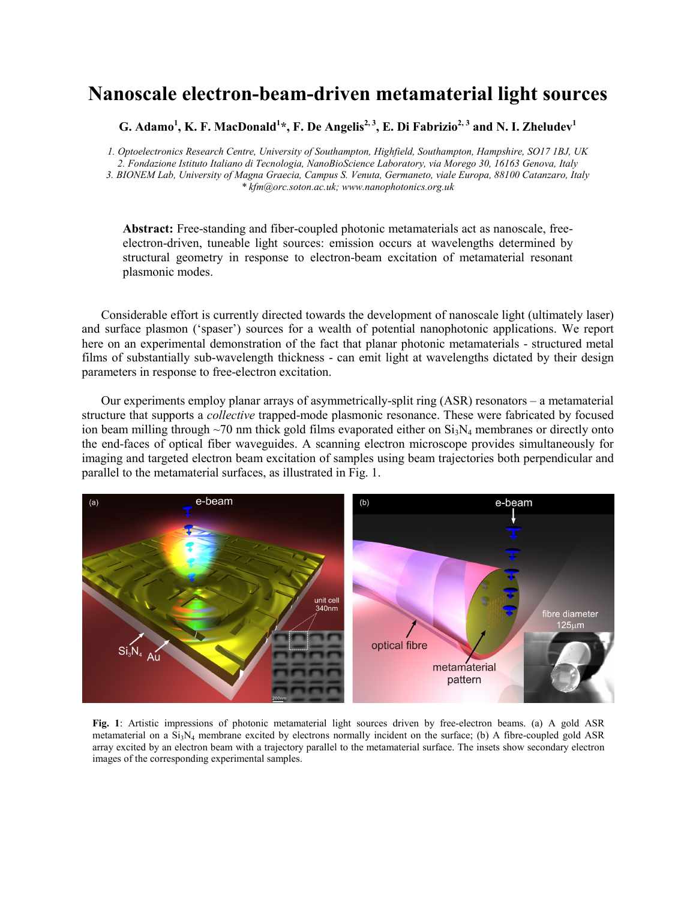## **Nanoscale electron-beam-driven metamaterial light sources**

 $\,$ G. Adamo $^{1}$ , K. F. MacDonald $^{1*}$ , F. De Angelis $^{2,3}$ , E. Di Fabrizio $^{2,3}$  and N. I. Zheludev $^{1}$ 

*1. Optoelectronics Research Centre, University of Southampton, Highfield, Southampton, Hampshire, SO17 1BJ, UK 2. Fondazione Istituto Italiano di Tecnologia, NanoBioScience Laboratory, via Morego 30, 16163 Genova, Italy 3. BIONEM Lab, University of Magna Graecia, Campus S. Venuta, Germaneto, viale Europa, 88100 Catanzaro, Italy \* kfm@orc.soton.ac.uk; www.nanophotonics.org.uk* 

**Abstract:** Free-standing and fiber-coupled photonic metamaterials act as nanoscale, freeelectron-driven, tuneable light sources: emission occurs at wavelengths determined by structural geometry in response to electron-beam excitation of metamaterial resonant plasmonic modes.

Considerable effort is currently directed towards the development of nanoscale light (ultimately laser) and surface plasmon ('spaser') sources for a wealth of potential nanophotonic applications. We report here on an experimental demonstration of the fact that planar photonic metamaterials - structured metal films of substantially sub-wavelength thickness - can emit light at wavelengths dictated by their design parameters in response to free-electron excitation.

Our experiments employ planar arrays of asymmetrically-split ring (ASR) resonators – a metamaterial structure that supports a *collective* trapped-mode plasmonic resonance. These were fabricated by focused ion beam milling through  $\sim$ 70 nm thick gold films evaporated either on  $Si_3N_4$  membranes or directly onto the end-faces of optical fiber waveguides. A scanning electron microscope provides simultaneously for imaging and targeted electron beam excitation of samples using beam trajectories both perpendicular and parallel to the metamaterial surfaces, as illustrated in Fig. 1.



**Fig. 1**: Artistic impressions of photonic metamaterial light sources driven by free-electron beams. (a) A gold ASR metamaterial on a  $Si<sub>3</sub>N<sub>4</sub>$  membrane excited by electrons normally incident on the surface; (b) A fibre-coupled gold ASR array excited by an electron beam with a trajectory parallel to the metamaterial surface. The insets show secondary electron images of the corresponding experimental samples.